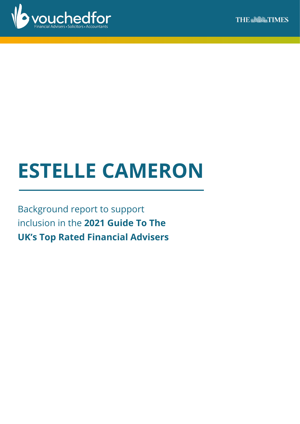

# **ESTELLE CAMERON**

Background report to support inclusion in the **2021 Guide To The UK's Top Rated Financial Advisers**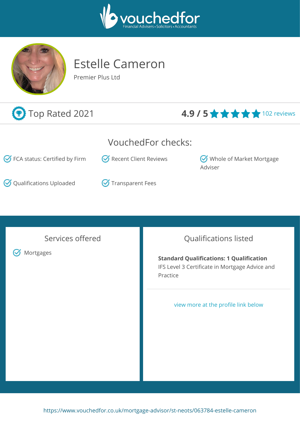



## Estelle Cameron

Premier Plus Ltd



## **E** Top Rated 2021 **4.9 / 5 ★ ★ ★ ★** 102 reviews

## VouchedFor checks:

 $\bigcirc$  FCA status: Certified by Firm  $\bigcirc$  Recent Client Reviews  $\bigcirc$  Whole of Market Mortgage

 $\bigcirc$  Qualifications Uploaded  $\bigcirc$  Transparent Fees



Services offered

**S** Mortgages

## Qualifications listed

Adviser

**Standard Qualifications: 1 Qualification** IFS Level 3 Certificate in Mortgage Advice and Practice

#### view more at the profile link below

<https://www.vouchedfor.co.uk/mortgage-advisor/st-neots/063784-estelle-cameron>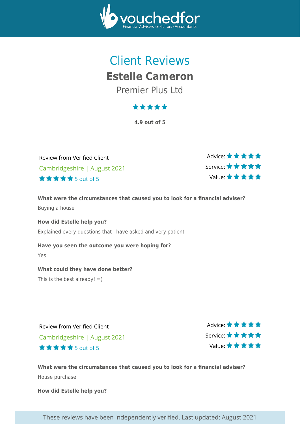

## Client Reviews **Estelle Cameron** Premier Plus Ltd

## \*\*\*\*\*

**4.9 out of 5**

Review from Verified Client Cambridgeshire | August 2021 5 out of 5

Advice: ★ ★ ★ ★ ★ Service: Value:

**What were the circumstances that caused you to look for a financial adviser?** Buying a house

**How did Estelle help you?** Explained every questions that I have asked and very patient

**Have you seen the outcome you were hoping for?** Yes

**What could they have done better?**

This is the best already!  $=$ )

Review from Verified Client Cambridgeshire | August 2021 5 out of 5

Advice: \* \* \* \* \* Service: Value:

**What were the circumstances that caused you to look for a financial adviser?** House purchase

**How did Estelle help you?**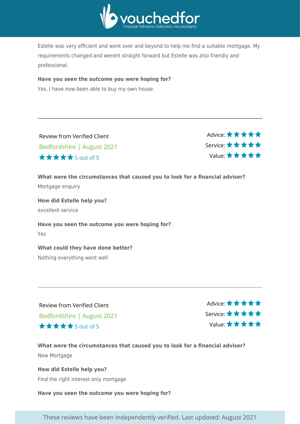

Estelle was very efficient and went over and beyond to help me find a suitable mortgage. My requirements changed and werent straight forward but Estelle was also friendly and professional.

#### **Have you seen the outcome you were hoping for?**

Yes, I have now been able to buy my own house.

| Review from Verified Client |  |
|-----------------------------|--|
| Bedfordshire   August 2021  |  |
| <b>★★★★★</b> 5 out of 5     |  |

Advice: \* \* \* \* \* Service: Value:

**What were the circumstances that caused you to look for a financial adviser?**

Mortgage enquiry

**How did Estelle help you?** excellent service

**Have you seen the outcome you were hoping for?** Yes

#### **What could they have done better?**

Nothing everything went well

Review from Verified Client Bedfordshire | August 2021 5 out of 5

Advice: ★★★★★ Service: Value:

**What were the circumstances that caused you to look for a financial adviser?** New Mortgage

**How did Estelle help you?** Find the right interest only mortgage

**Have you seen the outcome you were hoping for?**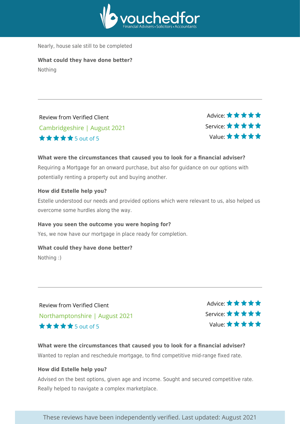

Nearly, house sale still to be completed

**What could they have done better?** Nothing

Review from Verified Client Cambridgeshire | August 2021 5 out of 5

Advice: ★★★★★ Service: Value:

#### **What were the circumstances that caused you to look for a financial adviser?**

Requiring a Mortgage for an onward purchase, but also for guidance on our options with potentially renting a property out and buying another.

#### **How did Estelle help you?**

Estelle understood our needs and provided options which were relevant to us, also helped us overcome some hurdles along the way.

#### **Have you seen the outcome you were hoping for?**

Yes, we now have our mortgage in place ready for completion.

#### **What could they have done better?**

Nothing :)

Review from Verified Client Northamptonshire | August 2021 5 out of 5

Advice: ★ ★ ★ ★ ★ Service: Value:

#### **What were the circumstances that caused you to look for a financial adviser?** Wanted to replan and reschedule mortgage, to find competitive mid-range fixed rate.

#### **How did Estelle help you?**

Advised on the best options, given age and income. Sought and secured competitive rate. Really helped to navigate a complex marketplace.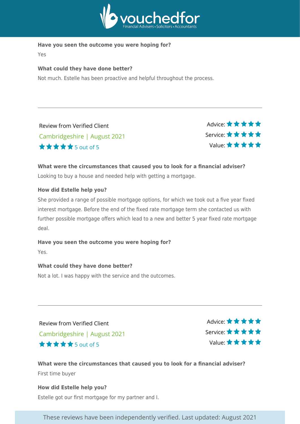

#### **Have you seen the outcome you were hoping for?**

Yes

#### **What could they have done better?**

Not much. Estelle has been proactive and helpful throughout the process.

| <b>Review from Verified Client</b> |
|------------------------------------|
| Cambridgeshire   August 2021       |
| <b>★★★★★</b> 5 out of 5            |

Advice: ★★★★★ Service: Value:

#### **What were the circumstances that caused you to look for a financial adviser?**

Looking to buy a house and needed help with getting a mortgage.

#### **How did Estelle help you?**

She provided a range of possible mortgage options, for which we took out a five year fixed interest mortgage. Before the end of the fixed rate mortgage term she contacted us with further possible mortgage offers which lead to a new and better 5 year fixed rate mortgage deal.

#### **Have you seen the outcome you were hoping for?**

Yes.

#### **What could they have done better?**

Not a lot. I was happy with the service and the outcomes.

Review from Verified Client Cambridgeshire | August 2021 5 out of 5

Advice:  $\star \star \star \star \star$ Service: Value:

**What were the circumstances that caused you to look for a financial adviser?** First time buyer

**How did Estelle help you?** Estelle got our first mortgage for my partner and I.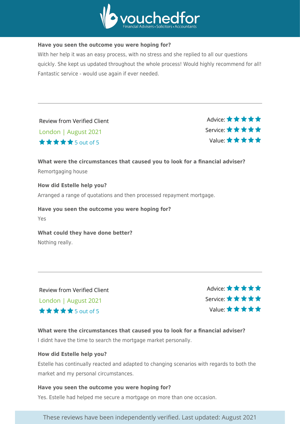

#### **Have you seen the outcome you were hoping for?**

With her help it was an easy process, with no stress and she replied to all our questions quickly. She kept us updated throughout the whole process! Would highly recommend for all! Fantastic service - would use again if ever needed.

Review from Verified Client London | August 2021 5 out of 5

Advice: \* \* \* \* \* Service: Value:

**What were the circumstances that caused you to look for a financial adviser?** Remortgaging house

**How did Estelle help you?** Arranged a range of quotations and then processed repayment mortgage.

**Have you seen the outcome you were hoping for?** Yes

**What could they have done better?** Nothing really.

Review from Verified Client London | August 2021 5 out of 5

Advice:  $\star \star \star \star \star$ Service: Value:

**What were the circumstances that caused you to look for a financial adviser?** I didnt have the time to search the mortgage market personally.

#### **How did Estelle help you?**

Estelle has continually reacted and adapted to changing scenarios with regards to both the market and my personal circumstances.

#### **Have you seen the outcome you were hoping for?**

Yes. Estelle had helped me secure a mortgage on more than one occasion.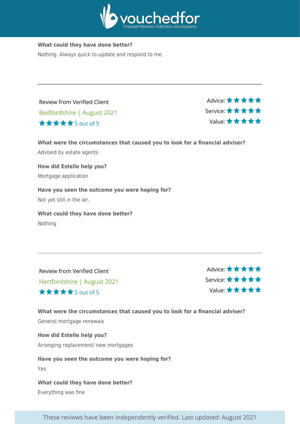

#### **What could they have done better?**

Nothing. Always quick to update and respond to me.

Review from Verified Client Bedfordshire | August 2021 5 out of 5

Advice: ★★★★★ Service: Value:

**What were the circumstances that caused you to look for a financial adviser?** Advised by estate agents

**How did Estelle help you?** Mortgage application

**Have you seen the outcome you were hoping for?** Not yet still in the air.

**What could they have done better?** Nothing

Review from Verified Client Hertfordshire | August 2021 5 out of 5

Advice: ★ ★ ★ ★ ★ Service: Value:

**What were the circumstances that caused you to look for a financial adviser?** General mortgage renewals

**How did Estelle help you?**

Arranging replacement/ new mortgages

**Have you seen the outcome you were hoping for?**

Yes

**What could they have done better?**

Everything was fine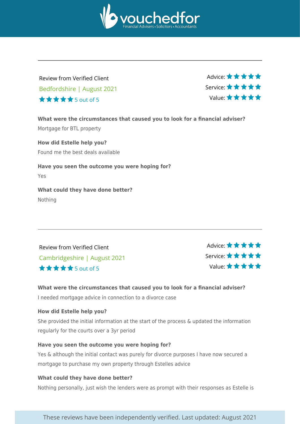

## Review from Verified Client Bedfordshire | August 2021 5 out of 5

Advice: ★ ★ ★ ★ ★ Service: Value:

**What were the circumstances that caused you to look for a financial adviser?** Mortgage for BTL property **How did Estelle help you?** Found me the best deals available

**Have you seen the outcome you were hoping for?** Yes

**What could they have done better?** Nothing

Review from Verified Client Cambridgeshire | August 2021 5 out of 5

Advice:  $\star \star \star \star \star$ Service: Value:

#### **What were the circumstances that caused you to look for a financial adviser?**

I needed mortgage advice in connection to a divorce case

#### **How did Estelle help you?**

She provided the initial information at the start of the process & updated the information regularly for the courts over a 3yr period

#### **Have you seen the outcome you were hoping for?**

Yes & although the initial contact was purely for divorce purposes I have now secured a mortgage to purchase my own property through Estelles advice

#### **What could they have done better?**

Nothing personally, just wish the lenders were as prompt with their responses as Estelle is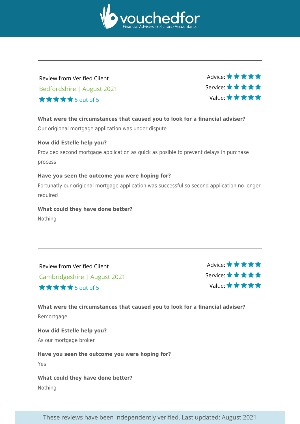

## Review from Verified Client Bedfordshire | August 2021 5 out of 5

Advice: ★ ★ ★ ★ ★ Service: Value:

#### **What were the circumstances that caused you to look for a financial adviser?**

Our origional mortgage application was under dispute

#### **How did Estelle help you?**

Provided second mortgage application as quick as posible to prevent delays in purchase process

#### **Have you seen the outcome you were hoping for?**

Fortunatly our origional mortgage application was successful so second application no longer required

#### **What could they have done better?** Nothing

Review from Verified Client Cambridgeshire | August 2021 5 out of 5

Advice: \*\*\*\*\* Service: Value:

#### **What were the circumstances that caused you to look for a financial adviser?** Remortgage

**How did Estelle help you?** As our mortgage broker

#### **Have you seen the outcome you were hoping for?**

Yes

**What could they have done better?** Nothing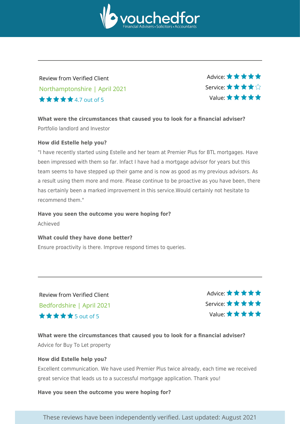

## Review from Verified Client Northamptonshire | April 2021 4.7 out of 5

Advice: ★ ★ ★ ★ ★ Service: Value:

**What were the circumstances that caused you to look for a financial adviser?** Portfolio landlord and Investor

#### **How did Estelle help you?**

"I have recently started using Estelle and her team at Premier Plus for BTL mortgages. Have been impressed with them so far. Infact I have had a mortgage advisor for years but this team seems to have stepped up their game and is now as good as my previous advisors. As a result using them more and more. Please continue to be proactive as you have been, there has certainly been a marked improvement in this service.Would certainly not hesitate to recommend them."

#### **Have you seen the outcome you were hoping for?**

Achieved

#### **What could they have done better?**

Ensure proactivity is there. Improve respond times to queries.

Review from Verified Client Bedfordshire | April 2021  $\star \star \star \star$  5 out of 5

Advice:  $\star \star \star \star \star$ Service: Value:

#### **What were the circumstances that caused you to look for a financial adviser?**

Advice for Buy To Let property

#### **How did Estelle help you?**

Excellent communication. We have used Premier Plus twice already, each time we received great service that leads us to a successful mortgage application. Thank you!

**Have you seen the outcome you were hoping for?**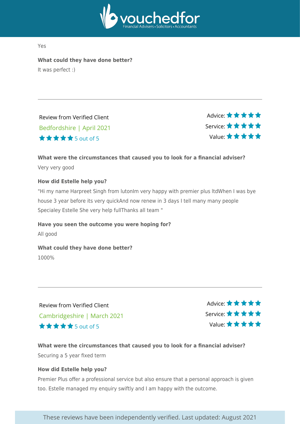

Yes

**What could they have done better?** It was perfect :)

5 out of 5

Review from Verified Client Bedfordshire | April 2021

Advice: ★★★★★ Service: Value:

#### **What were the circumstances that caused you to look for a financial adviser?**

Very very good

#### **How did Estelle help you?**

"Hi my name Harpreet Singh from lutonIm very happy with premier plus ltdWhen I was bye house 3 year before its very quickAnd now renew in 3 days I tell many many people Specialey Estelle She very help fullThanks all team "

**Have you seen the outcome you were hoping for?** All good

**What could they have done better?** 1000%

Review from Verified Client Cambridgeshire | March 2021 5 out of 5

Advice: \* \* \* \* \* Service: Value:

#### **What were the circumstances that caused you to look for a financial adviser?** Securing a 5 year fixed term

#### **How did Estelle help you?**

Premier Plus offer a professional service but also ensure that a personal approach is given too. Estelle managed my enquiry swiftly and I am happy with the outcome.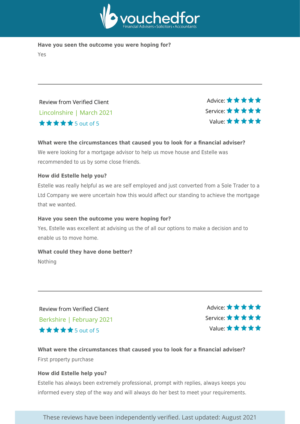

**Have you seen the outcome you were hoping for?** Yes

Review from Verified Client Lincolnshire | March 2021 5 out of 5

Advice: \* \* \* \* \* Service: Value:

#### **What were the circumstances that caused you to look for a financial adviser?**

We were looking for a mortgage advisor to help us move house and Estelle was recommended to us by some close friends.

#### **How did Estelle help you?**

Estelle was really helpful as we are self employed and just converted from a Sole Trader to a Ltd Company we were uncertain how this would affect our standing to achieve the mortgage that we wanted.

#### **Have you seen the outcome you were hoping for?**

Yes, Estelle was excellent at advising us the of all our options to make a decision and to enable us to move home.

#### **What could they have done better?**

Nothing

Review from Verified Client Berkshire | February 2021  $\star \star \star \star$  5 out of 5

Advice: \*\*\*\*\* Service: Value:

#### **What were the circumstances that caused you to look for a financial adviser?** First property purchase

#### **How did Estelle help you?**

Estelle has always been extremely professional, prompt with replies, always keeps you informed every step of the way and will always do her best to meet your requirements.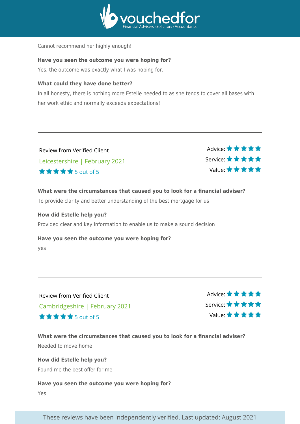

Cannot recommend her highly enough!

#### **Have you seen the outcome you were hoping for?**

Yes, the outcome was exactly what I was hoping for.

#### **What could they have done better?**

In all honesty, there is nothing more Estelle needed to as she tends to cover all bases with her work ethic and normally exceeds expectations!

Review from Verified Client Leicestershire | February 2021  $\star \star \star \star$  5 out of 5

Advice: ★ ★ ★ ★ ★ Service: Value:

**What were the circumstances that caused you to look for a financial adviser?** To provide clarity and better understanding of the best mortgage for us

**How did Estelle help you?** Provided clear and key information to enable us to make a sound decision

**Have you seen the outcome you were hoping for?** yes

Review from Verified Client Cambridgeshire | February 2021 5 out of 5

Advice: \*\*\*\*\* Service: Value:

**What were the circumstances that caused you to look for a financial adviser?** Needed to move home

**How did Estelle help you?** Found me the best offer for me

#### **Have you seen the outcome you were hoping for?**

Yes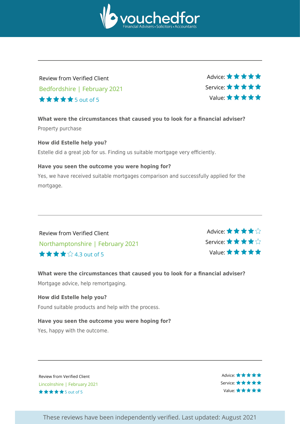

## Review from Verified Client Bedfordshire | February 2021 5 out of 5

Advice: ★ ★ ★ ★ ★ Service: Value:

**What were the circumstances that caused you to look for a financial adviser?** Property purchase

#### **How did Estelle help you?**

Estelle did a great job for us. Finding us suitable mortgage very efficiently.

#### **Have you seen the outcome you were hoping for?**

Yes, we have received suitable mortgages comparison and successfully applied for the mortgage.

Review from Verified Client Northamptonshire | February 2021 4.3 out of 5

Advice: \* \* \* \* \* \* Service: Value:

## **What were the circumstances that caused you to look for a financial adviser?** Mortgage advice, help remortgaging.

#### **How did Estelle help you?**

Found suitable products and help with the process.

#### **Have you seen the outcome you were hoping for?**

Yes, happy with the outcome.

Review from Verified Client . Lincolnshire | February 2021 \*\*\*\*\*5out of 5

Advice: ★★★★★ Service: \* \* \* \* \* Value: ★ ★ ★ ★ ★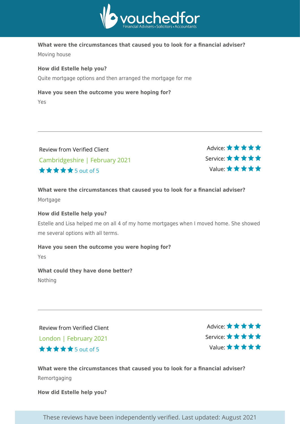

#### **What were the circumstances that caused you to look for a financial adviser?**

Moving house

#### **How did Estelle help you?**

Quite mortgage options and then arranged the mortgage for me

#### **Have you seen the outcome you were hoping for?**

Yes

| Review from Verified Client    |
|--------------------------------|
| Cambridgeshire   February 2021 |
| <b>★★★★★</b> 5out of 5         |

Advice:  $\star \star \star \star \star$ Service: Value:

#### **What were the circumstances that caused you to look for a financial adviser?** Mortgage

#### **How did Estelle help you?**

Estelle and Lisa helped me on all 4 of my home mortgages when I moved home. She showed me several options with all terms.

#### **Have you seen the outcome you were hoping for?**

Yes

#### **What could they have done better?**

Nothing

Review from Verified Client London | February 2021 5 out of 5

Advice: ★ ★ ★ ★ ★ Service: Value:

**What were the circumstances that caused you to look for a financial adviser?** Remortgaging

**How did Estelle help you?**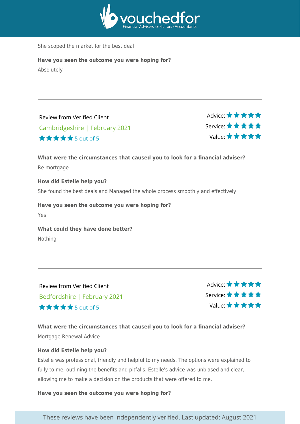

She scoped the market for the best deal

**Have you seen the outcome you were hoping for?** Absolutely

Review from Verified Client Cambridgeshire | February 2021 5 out of 5

Advice: ★★★★★ Service: Value:

**What were the circumstances that caused you to look for a financial adviser?** Re mortgage **How did Estelle help you?**

She found the best deals and Managed the whole process smoothly and effectively.

**Have you seen the outcome you were hoping for?** Yes

**What could they have done better?** Nothing

Review from Verified Client Bedfordshire | February 2021 5 out of 5

Advice: \* \* \* \* \* Service: Value:

**What were the circumstances that caused you to look for a financial adviser?** Mortgage Renewal Advice

#### **How did Estelle help you?**

Estelle was professional, friendly and helpful to my needs. The options were explained to fully to me, outlining the benefits and pitfalls. Estelle's advice was unbiased and clear, allowing me to make a decision on the products that were offered to me.

**Have you seen the outcome you were hoping for?**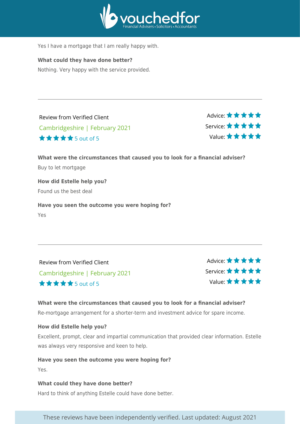

Yes I have a mortgage that I am really happy with.

#### **What could they have done better?**

Nothing. Very happy with the service provided.

Review from Verified Client Cambridgeshire | February 2021 5 out of 5

Advice: ★★★★★ Service: Value:

**What were the circumstances that caused you to look for a financial adviser?** Buy to let mortgage **How did Estelle help you?** Found us the best deal

**Have you seen the outcome you were hoping for?** Yes

Review from Verified Client Cambridgeshire | February 2021  $\star \star \star \star$  5 out of 5

Advice: \* \* \* \* \* Service: Value:

#### **What were the circumstances that caused you to look for a financial adviser?**

Re-mortgage arrangement for a shorter-term and investment advice for spare income.

#### **How did Estelle help you?**

Excellent, prompt, clear and impartial communication that provided clear information. Estelle was always very responsive and keen to help.

#### **Have you seen the outcome you were hoping for?**

Yes.

#### **What could they have done better?**

Hard to think of anything Estelle could have done better.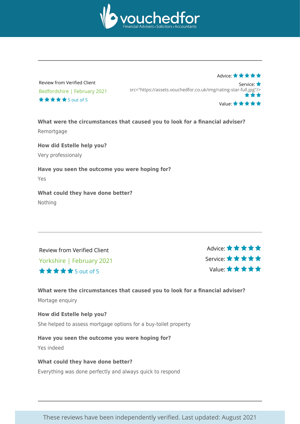

Advice: ★★★★★

Review from Verified Client . Bedfordshire | February 2021  $\star \star \star \star$  5 out of 5

Service: src="https://assets.vouchedfor.co.uk/img/rating-star-full.jpg"/> Value: \* \* \* \* \*

**What were the circumstances that caused you to look for a financial adviser? Remortgage** 

**How did Estelle help you?** Very professionaly

**Have you seen the outcome you were hoping for?** Yes

**What could they have done better?** Nothing

Review from Verified Client Yorkshire | February 2021 5 out of 5

Advice: ★ ★ ★ ★ ★ Service: Value:

**What were the circumstances that caused you to look for a financial adviser?**

Mortage enquiry

**How did Estelle help you?** She helped to assess mortgage options for a buy-toilet property

**Have you seen the outcome you were hoping for?** Yes indeed

**What could they have done better?** Everything was done perfectly and always quick to respond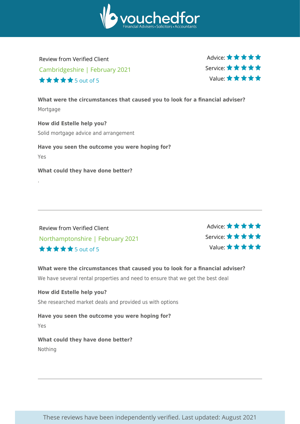

Review from Verified Client Cambridgeshire | February 2021  $\star \star \star \star$  5 out of 5

Advice:  $\star \star \star \star \star$ Service: Value:

**What were the circumstances that caused you to look for a financial adviser?** Mortgage

**How did Estelle help you?** Solid mortgage advice and arrangement

**Have you seen the outcome you were hoping for?** Yes

**What could they have done better?**

.

Review from Verified Client Northamptonshire | February 2021 5 out of 5

Advice: ★★★★★ Service: Value:

**What were the circumstances that caused you to look for a financial adviser?**

We have several rental properties and need to ensure that we get the best deal

**How did Estelle help you?** She researched market deals and provided us with options

**Have you seen the outcome you were hoping for?** Yes

**What could they have done better?** Nothing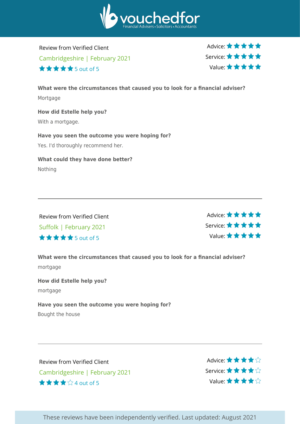

Review from Verified Client Cambridgeshire | February 2021  $\star \star \star \star$  5 out of 5

Advice:  $\star \star \star \star \star$ Service: Value:

**What were the circumstances that caused you to look for a financial adviser?** Mortgage **How did Estelle help you?** With a mortgage. **Have you seen the outcome you were hoping for?**

Yes. I'd thoroughly recommend her.

**What could they have done better?** Nothing

Review from Verified Client Suffolk | February 2021 5 out of 5

Advice: ★★★★★ Service: Value:

**What were the circumstances that caused you to look for a financial adviser?** mortgage

**How did Estelle help you?** mortgage

**Have you seen the outcome you were hoping for?**

Bought the house

Review from Verified Client Cambridgeshire | February 2021 4 out of 5

Advice: ★★★★☆ Service: Value: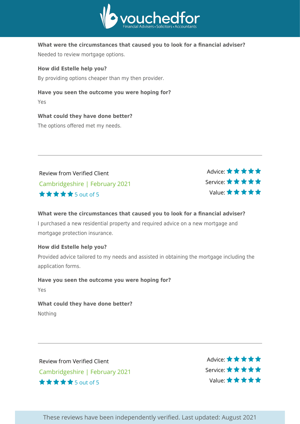

#### **What were the circumstances that caused you to look for a financial adviser?**

Needed to review mortgage options.

**How did Estelle help you?**

By providing options cheaper than my then provider.

#### **Have you seen the outcome you were hoping for?**

Yes

#### **What could they have done better?**

The options offered met my needs.

Review from Verified Client Cambridgeshire | February 2021 5 out of 5

Advice: ★ ★ ★ ★ ★ Service: Value:

#### **What were the circumstances that caused you to look for a financial adviser?**

I purchased a new residential property and required advice on a new mortgage and mortgage protection insurance.

#### **How did Estelle help you?**

Provided advice tailored to my needs and assisted in obtaining the mortgage including the application forms.

#### **Have you seen the outcome you were hoping for?**

Yes

#### **What could they have done better?** Nothing

Review from Verified Client Cambridgeshire | February 2021 5 out of 5

Advice: ★ ★ ★ ★ ★ Service: Value: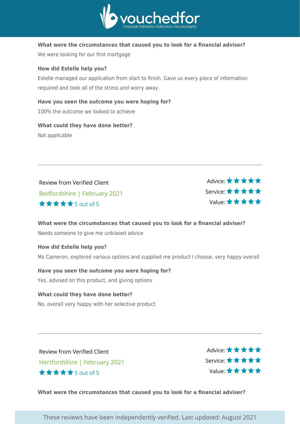

#### **What were the circumstances that caused you to look for a financial adviser?**

We were looking for our first mortgage

#### **How did Estelle help you?**

Estelle managed our application from start to finish. Gave us every piece of information required and took all of the stress and worry away.

#### **Have you seen the outcome you were hoping for?**

100% the outcome we looked to achieve

## **What could they have done better?**

Not applicable

| Review from Verified Client          | Advice: $\star \star \star \star \star$ |
|--------------------------------------|-----------------------------------------|
| Bedfordshire   February 2021         | Service: ★★★★★                          |
| $\star \star \star \star$ 5 out of 5 | Value: ★★★★★                            |

#### **What were the circumstances that caused you to look for a financial adviser?** Needs someone to give me unbiased advice

#### **How did Estelle help you?**

Ms Cameron, explored various options and supplied me product I choose, very happy overall

**Have you seen the outcome you were hoping for?** Yes, advised on this product, and giving options

#### **What could they have done better?** No, overall very happy with her selective product

Review from Verified Client Hertfordshire | February 2021 5 out of 5

Advice: \*\*\*\*\* Service: Value:

**What were the circumstances that caused you to look for a financial adviser?**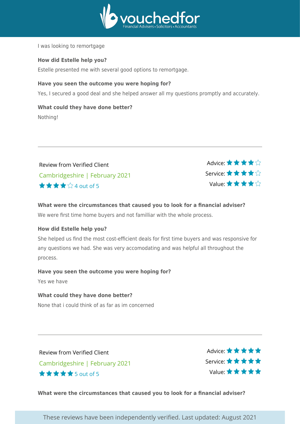

I was looking to remortgage

#### **How did Estelle help you?**

Estelle presented me with several good options to remortgage.

#### **Have you seen the outcome you were hoping for?**

Yes, I secured a good deal and she helped answer all my questions promptly and accurately.

#### **What could they have done better?**

Nothing!

Review from Verified Client Cambridgeshire | February 2021 4 out of 5



**What were the circumstances that caused you to look for a financial adviser?** We were first time home buyers and not familliar with the whole process.

#### **How did Estelle help you?**

She helped us find the most cost-efficient deals for first time buyers and was responsive for any questions we had. She was very accomodating and was helpful all throughout the process.

#### **Have you seen the outcome you were hoping for?**

Yes we have

#### **What could they have done better?**

None that i could think of as far as im concerned

Review from Verified Client Cambridgeshire | February 2021 5 out of 5

Advice: \* \* \* \* \* Service: Value:

**What were the circumstances that caused you to look for a financial adviser?**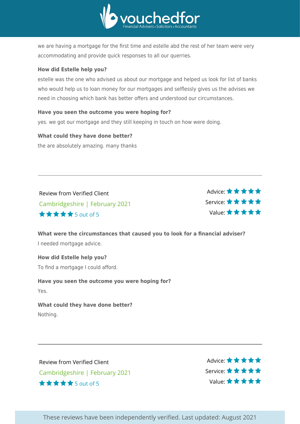

we are having a mortgage for the first time and estelle abd the rest of her team were very accommodating and provide quick responses to all our querries.

#### **How did Estelle help you?**

estelle was the one who advised us about our mortgage and helped us look for list of banks who would help us to loan money for our mortgages and selflessly gives us the advises we need in choosing which bank has better offers and understood our circumstances.

#### **Have you seen the outcome you were hoping for?**

yes. we got our mortgage and they still keeping in touch on how were doing.

#### **What could they have done better?**

the are absolutely amazing. many thanks

Review from Verified Client Cambridgeshire | February 2021 5 out of 5

Advice:  $\star \star \star \star \star$ Service: Value:

**What were the circumstances that caused you to look for a financial adviser?** I needed mortgage advice.

**How did Estelle help you?** To find a mortgage I could afford.

**Have you seen the outcome you were hoping for?** Yes.

**What could they have done better?** Nothing.

Review from Verified Client Cambridgeshire | February 2021 5 out of 5

Advice: \* \* \* \* \* Service: Value: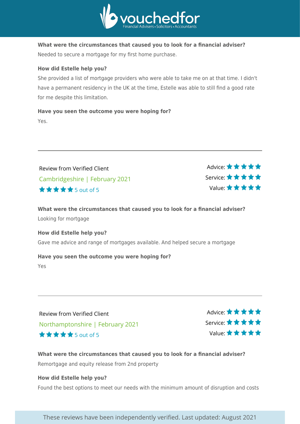

**What were the circumstances that caused you to look for a financial adviser?** Needed to secure a mortgage for my first home purchase.

#### **How did Estelle help you?**

She provided a list of mortgage providers who were able to take me on at that time. I didn't have a permanent residency in the UK at the time, Estelle was able to still find a good rate for me despite this limitation.

**Have you seen the outcome you were hoping for?** Yes.

Review from Verified Client Cambridgeshire | February 2021 5 out of 5

Advice: ★★★★★ Service: Value:

**What were the circumstances that caused you to look for a financial adviser?** Looking for mortgage

**How did Estelle help you?** Gave me advice and range of mortgages available. And helped secure a mortgage

#### **Have you seen the outcome you were hoping for?**

Yes

Review from Verified Client Northamptonshire | February 2021 5 out of 5

Advice: \* \* \* \* \* Service: Value:

**What were the circumstances that caused you to look for a financial adviser?** Remortgage and equity release from 2nd property

#### **How did Estelle help you?**

Found the best options to meet our needs with the minimum amount of disruption and costs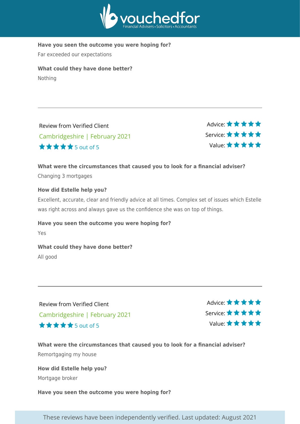

**Have you seen the outcome you were hoping for?**

Far exceeded our expectations

**What could they have done better?** Nothing

Review from Verified Client Cambridgeshire | February 2021 5 out of 5

Advice: ★★★★★ Service: Value:

#### **What were the circumstances that caused you to look for a financial adviser?** Changing 3 mortgages

#### **How did Estelle help you?**

Excellent, accurate, clear and friendly advice at all times. Complex set of issues which Estelle was right across and always gave us the confidence she was on top of things.

#### **Have you seen the outcome you were hoping for?**

Yes

#### **What could they have done better?**

All good

Review from Verified Client Cambridgeshire | February 2021 5 out of 5

Advice: ★★★★★ Service: Value:

#### **What were the circumstances that caused you to look for a financial adviser?** Remortgaging my house

**How did Estelle help you?** Mortgage broker

**Have you seen the outcome you were hoping for?**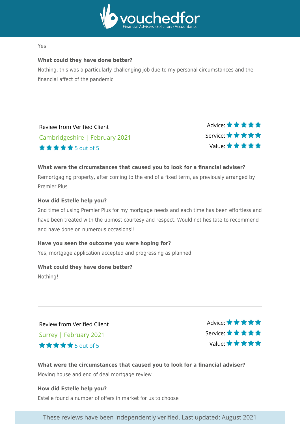

#### Yes

#### **What could they have done better?**

Nothing, this was a particularly challenging job due to my personal circumstances and the financial affect of the pandemic

Review from Verified Client Cambridgeshire | February 2021 5 out of 5

Advice: \* \* \* \* \* Service: Value:

#### **What were the circumstances that caused you to look for a financial adviser?**

Remortgaging property, after coming to the end of a fixed term, as previously arranged by Premier Plus

#### **How did Estelle help you?**

2nd time of using Premier Plus for my mortgage needs and each time has been effortless and have been treated with the upmost courtesy and respect. Would not hesitate to recommend and have done on numerous occasions!!

#### **Have you seen the outcome you were hoping for?**

Yes, mortgage application accepted and progressing as planned

#### **What could they have done better?**

Nothing!

Review from Verified Client Surrey | February 2021 5 out of 5

Advice: \* \* \* \* \* Service: Value:

**What were the circumstances that caused you to look for a financial adviser?** Moving house and end of deal mortgage review

**How did Estelle help you?** Estelle found a number of offers in market for us to choose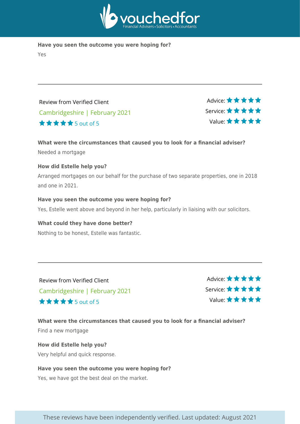

**Have you seen the outcome you were hoping for?** Yes

Review from Verified Client Cambridgeshire | February 2021 5 out of 5

Advice: \* \* \* \* \* Service: Value:

#### **What were the circumstances that caused you to look for a financial adviser?**

Needed a mortgage

#### **How did Estelle help you?**

Arranged mortgages on our behalf for the purchase of two separate properties, one in 2018 and one in 2021.

**Have you seen the outcome you were hoping for?** Yes, Estelle went above and beyond in her help, particularly in liaising with our solicitors.

**What could they have done better?** Nothing to be honest, Estelle was fantastic.

Review from Verified Client Cambridgeshire | February 2021 5 out of 5

Advice: \* \* \* \* \* Service: Value:

**What were the circumstances that caused you to look for a financial adviser?** Find a new mortgage

**How did Estelle help you?** Very helpful and quick response.

#### **Have you seen the outcome you were hoping for?**

Yes, we have got the best deal on the market.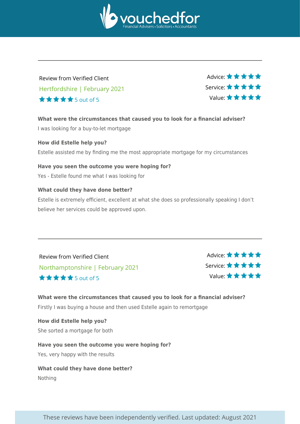

## Review from Verified Client Hertfordshire | February 2021 5 out of 5

Advice: ★ ★ ★ ★ ★ Service: Value:

**What were the circumstances that caused you to look for a financial adviser?** I was looking for a buy-to-let mortgage

**How did Estelle help you?** Estelle assisted me by finding me the most appropriate mortgage for my circumstances

**Have you seen the outcome you were hoping for?** Yes - Estelle found me what I was looking for

#### **What could they have done better?**

Estelle is extremely efficient, excellent at what she does so professionally speaking I don't believe her services could be approved upon.

Review from Verified Client Northamptonshire | February 2021 5 out of 5

Advice: \* \* \* \* \* Service: Value:

**What were the circumstances that caused you to look for a financial adviser?** Firstly I was buying a house and then used Estelle again to remortgage

**How did Estelle help you?** She sorted a mortgage for both

**Have you seen the outcome you were hoping for?** Yes, very happy with the results

**What could they have done better?** Nothing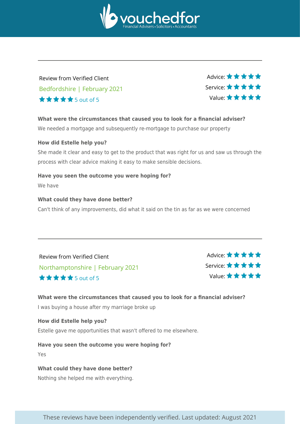

## Review from Verified Client Bedfordshire | February 2021 5 out of 5

Advice: ★ ★ ★ ★ ★ Service: Value:

**What were the circumstances that caused you to look for a financial adviser?**

We needed a mortgage and subsequently re-mortgage to purchase our property

#### **How did Estelle help you?**

She made it clear and easy to get to the product that was right for us and saw us through the process with clear advice making it easy to make sensible decisions.

#### **Have you seen the outcome you were hoping for?**

We have

#### **What could they have done better?**

Can't think of any improvements, did what it said on the tin as far as we were concerned

Review from Verified Client Northamptonshire | February 2021 5 out of 5

Advice: \* \* \* \* \* Service: Value:

**What were the circumstances that caused you to look for a financial adviser?** I was buying a house after my marriage broke up

**How did Estelle help you?**

Estelle gave me opportunities that wasn't offered to me elsewhere.

**Have you seen the outcome you were hoping for?**

Yes

**What could they have done better?** Nothing she helped me with everything.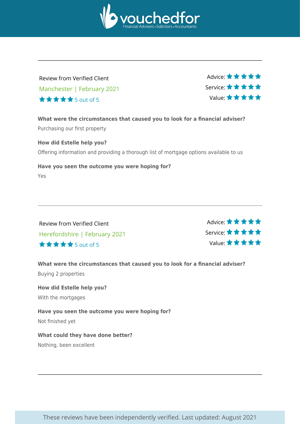

## Review from Verified Client Manchester | February 2021 5 out of 5

Advice: ★ ★ ★ ★ ★ Service: Value:

**What were the circumstances that caused you to look for a financial adviser?** Purchasing our first property

**How did Estelle help you?** Offering information and providing a thorough list of mortgage options available to us

**Have you seen the outcome you were hoping for?** Yes

Review from Verified Client Herefordshire | February 2021 5 out of 5

Advice: \*\*\*\*\* Service: Value:

**What were the circumstances that caused you to look for a financial adviser?** Buying 2 properties

**How did Estelle help you?** With the mortgages

**Have you seen the outcome you were hoping for?** Not finished yet

**What could they have done better?**

Nothing, been excellent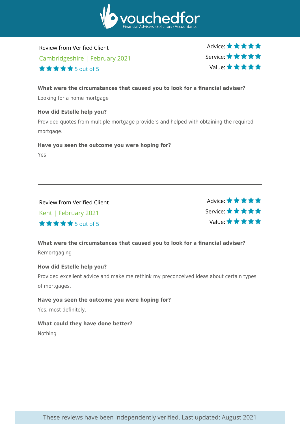

Review from Verified Client Cambridgeshire | February 2021  $\star \star \star \star$  5 out of 5

Advice: ★ ★ ★ ★ ★ Service: Value:

**What were the circumstances that caused you to look for a financial adviser?** Looking for a home mortgage

**How did Estelle help you?** Provided quotes from multiple mortgage providers and helped with obtaining the required mortgage.

**Have you seen the outcome you were hoping for?** Yes

Review from Verified Client Kent | February 2021 5 out of 5

Advice: ★★★★★ Service: Value:

**What were the circumstances that caused you to look for a financial adviser?** Remortgaging

#### **How did Estelle help you?**

Provided excellent advice and make me rethink my preconceived ideas about certain types of mortgages.

**Have you seen the outcome you were hoping for?** Yes, most definitely.

**What could they have done better?**

Nothing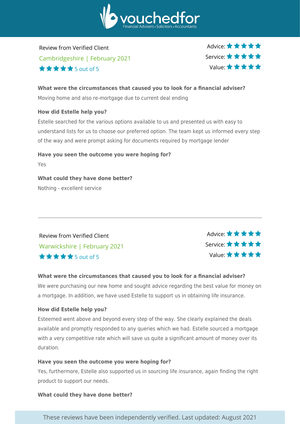

Review from Verified Client Cambridgeshire | February 2021  $\star \star \star \star$  5 out of 5

Advice: ★ ★ ★ ★ ★ Service: Value:

#### **What were the circumstances that caused you to look for a financial adviser?**

Moving home and also re-mortgage due to current deal ending

#### **How did Estelle help you?**

Estelle searched for the various options available to us and presented us with easy to understand lists for us to choose our preferred option. The team kept us informed every step of the way and were prompt asking for documents required by mortgage lender

**Have you seen the outcome you were hoping for?** Yes **What could they have done better?**

Nothing - excellent service

## Review from Verified Client Warwickshire | February 2021 5 out of 5



#### **What were the circumstances that caused you to look for a financial adviser?**

We were purchasing our new home and sought advice regarding the best value for money on a mortgage. In addition, we have used Estelle to support us in obtaining life insurance.

#### **How did Estelle help you?**

Esteemed went above and beyond every step of the way. She clearly explained the deals available and promptly responded to any queries which we had. Estelle sourced a mortgage with a very competitive rate which will save us quite a significant amount of money over its duration.

#### **Have you seen the outcome you were hoping for?**

Yes, furthermore, Estelle also supported us in sourcing life insurance, again finding the right product to support our needs.

#### **What could they have done better?**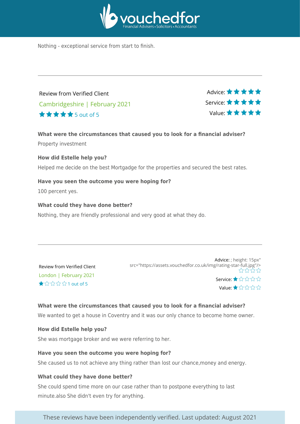

Nothing - exceptional service from start to finish.

Review from Verified Client Cambridgeshire | February 2021 5 out of 5



**What were the circumstances that caused you to look for a financial adviser?** Property investment

#### **How did Estelle help you?**

Helped me decide on the best Mortgadge for the properties and secured the best rates.

**Have you seen the outcome you were hoping for?** 100 percent yes.

**What could they have done better?** Nothing, they are friendly professional and very good at what they do.

| Review from Verified Client |                                             |
|-----------------------------|---------------------------------------------|
|                             | London   February 2021                      |
|                             | $\bigstar \lor \Diamond \Diamond \lor \Box$ |

Advice: ; height: 15px" src="https://assets.vouchedfor.co.uk/img/rating-star-full.jpg"/> ᢢᡪᡪᡃᡪ Service: ★☆☆☆☆ Value:★☆☆☆☆

#### **What were the circumstances that caused you to look for a financial adviser?**

We wanted to get a house in Coventry and it was our only chance to become home owner.

#### **How did Estelle help you?**

She was mortgage broker and we were referring to her.

#### **Have you seen the outcome you were hoping for?**

She caused us to not achieve any thing rather than lost our chance,money and energy.

#### **What could they have done better?**

She could spend time more on our case rather than to postpone everything to last minute.also She didn't even try for anything.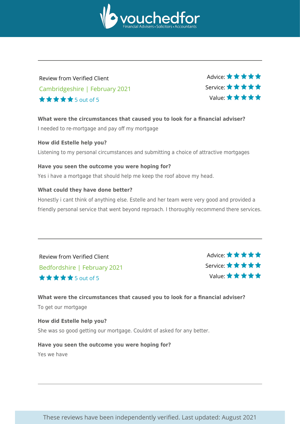

## Review from Verified Client Cambridgeshire | February 2021 5 out of 5

Advice: ★ ★ ★ ★ ★ Service: Value:

**What were the circumstances that caused you to look for a financial adviser?** I needed to re-mortgage and pay off my mortgage

#### **How did Estelle help you?**

Listening to my personal circumstances and submitting a choice of attractive mortgages

#### **Have you seen the outcome you were hoping for?**

Yes i have a mortgage that should help me keep the roof above my head.

#### **What could they have done better?**

Honestly i cant think of anything else. Estelle and her team were very good and provided a friendly personal service that went beyond reproach. I thoroughly recommend there services.

Review from Verified Client Bedfordshire | February 2021 5 out of 5

Advice: \* \* \* \* \* Service: Value:

**What were the circumstances that caused you to look for a financial adviser?** To get our mortgage

**How did Estelle help you?** She was so good getting our mortgage. Couldnt of asked for any better.

**Have you seen the outcome you were hoping for?** Yes we have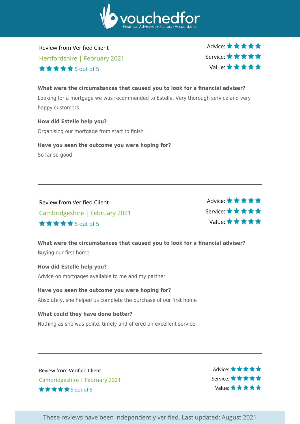

Review from Verified Client Hertfordshire | February 2021  $\star \star \star \star$  5 out of 5

Advice:  $\star \star \star \star \star$ Service: Value:

## **What were the circumstances that caused you to look for a financial adviser?** Looking for a mortgage we was recommended to Estelle. Very thorough service and very happy customers

**How did Estelle help you?** Organising our mortgage from start to finish

**Have you seen the outcome you were hoping for?**

So far so good

Review from Verified Client Cambridgeshire | February 2021 5 out of 5

Advice: ★ ★ ★ ★ ★ Service: Value:

**What were the circumstances that caused you to look for a financial adviser?** Buying our first home

**How did Estelle help you?** Advice on mortgages available to me and my partner

**Have you seen the outcome you were hoping for?** Absolutely, she helped us complete the purchase of our first home

**What could they have done better?** Nothing as she was polite, timely and offered an excellent service

Review from Verified Client Cambridgeshire | February 2021  $\star \star \star \star$  5 out of 5

Advice: \*\*\*\*\* Service: \* \* \* \* \* Value: ★ ★ ★ ★ ★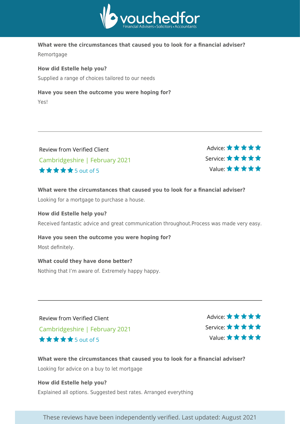

#### **What were the circumstances that caused you to look for a financial adviser?**

Remortgage

#### **How did Estelle help you?**

Supplied a range of choices tailored to our needs

#### **Have you seen the outcome you were hoping for?**

Yes!

| Review from Verified Client    |  |
|--------------------------------|--|
| Cambridgeshire   February 2021 |  |
| <b>★★★★★</b> 5 out of 5        |  |



#### **What were the circumstances that caused you to look for a financial adviser?**

Looking for a mortgage to purchase a house.

#### **How did Estelle help you?**

Received fantastic advice and great communication throughout.Process was made very easy.

#### **Have you seen the outcome you were hoping for?**

Most definitely.

#### **What could they have done better?**

Nothing that I'm aware of. Extremely happy happy.

Review from Verified Client Cambridgeshire | February 2021 5 out of 5

Advice: \*\*\*\*\* Service: Value:

**What were the circumstances that caused you to look for a financial adviser?** Looking for advice on a buy to let mortgage

**How did Estelle help you?** Explained all options. Suggested best rates. Arranged everything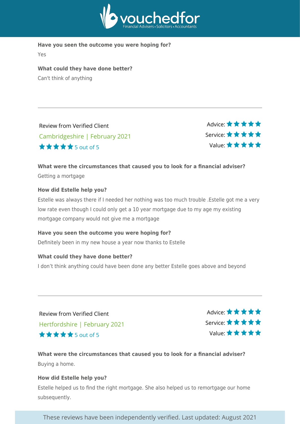

**Have you seen the outcome you were hoping for?**

Yes

**What could they have done better?** Can't think of anything

Review from Verified Client Cambridgeshire | February 2021 5 out of 5

Advice: ★★★★★ Service: Value:

#### **What were the circumstances that caused you to look for a financial adviser?** Getting a mortgage

#### **How did Estelle help you?**

Estelle was always there if I needed her nothing was too much trouble .Estelle got me a very low rate even though I could only get a 10 year mortgage due to my age my existing mortgage company would not give me a mortgage

**Have you seen the outcome you were hoping for?** Definitely been in my new house a year now thanks to Estelle

#### **What could they have done better?**

I don't think anything could have been done any better Estelle goes above and beyond

Review from Verified Client Hertfordshire | February 2021 5 out of 5

Advice: \* \* \* \* \* Service: Value:

**What were the circumstances that caused you to look for a financial adviser?** Buying a home.

#### **How did Estelle help you?**

Estelle helped us to find the right mortgage. She also helped us to remortgage our home subsequently.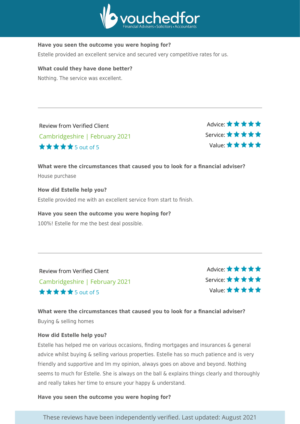

#### **Have you seen the outcome you were hoping for?**

Estelle provided an excellent service and secured very competitive rates for us.

#### **What could they have done better?**

Nothing. The service was excellent.

| <b>Review from Verified Client</b> |
|------------------------------------|
| Cambridgeshire   February 2021     |
| <b>★★★★★</b> 5 out of 5            |

Advice: ★★★★★ Service: Value:

#### **What were the circumstances that caused you to look for a financial adviser?** House purchase

**How did Estelle help you?** Estelle provided me with an excellent service from start to finish.

#### **Have you seen the outcome you were hoping for?**

100%! Estelle for me the best deal possible.

Review from Verified Client Cambridgeshire | February 2021 5 out of 5

Advice: ★★★★★ Service: Value:

#### **What were the circumstances that caused you to look for a financial adviser?** Buying & selling homes

#### **How did Estelle help you?**

Estelle has helped me on various occasions, finding mortgages and insurances & general advice whilst buying & selling various properties. Estelle has so much patience and is very friendly and supportive and Im my opinion, always goes on above and beyond. Nothing seems to much for Estelle. She is always on the ball & explains things clearly and thoroughly and really takes her time to ensure your happy & understand.

**Have you seen the outcome you were hoping for?**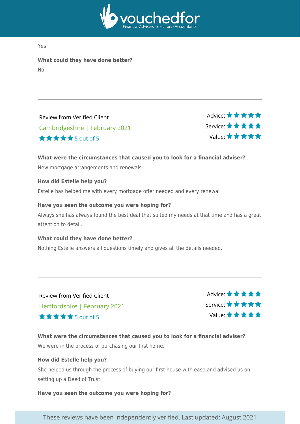

Yes

**What could they have done better?** No

Review from Verified Client Cambridgeshire | February 2021 5 out of 5

Advice: ★★★★★ Service: Value:

#### **What were the circumstances that caused you to look for a financial adviser?**

New mortgage arrangements and renewals

#### **How did Estelle help you?**

Estelle has helped me with every mortgage offer needed and every renewal

#### **Have you seen the outcome you were hoping for?**

Always she has always found the best deal that suited my needs at that time and has a great attention to detail.

#### **What could they have done better?**

Nothing Estelle answers all questions timely and gives all the details needed.

Review from Verified Client Hertfordshire | February 2021 5 out of 5

Advice: \*\*\*\*\* Service: Value:

**What were the circumstances that caused you to look for a financial adviser?** We were in the process of purchasing our first home.

#### **How did Estelle help you?**

She helped us through the process of buying our first house with ease and advised us on setting up a Deed of Trust.

**Have you seen the outcome you were hoping for?**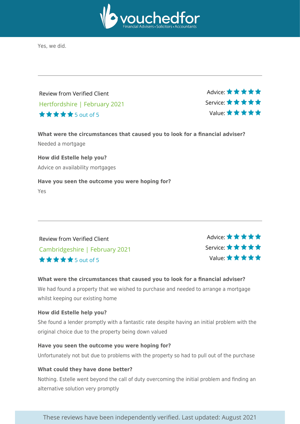

Yes, we did.

Review from Verified Client Hertfordshire | February 2021 5 out of 5



**What were the circumstances that caused you to look for a financial adviser?** Needed a mortgage

**How did Estelle help you?** Advice on availability mortgages

#### **Have you seen the outcome you were hoping for?**

Yes

Review from Verified Client Cambridgeshire | February 2021 5 out of 5

Advice: \* \* \* \* \* Service: Value:

#### **What were the circumstances that caused you to look for a financial adviser?**

We had found a property that we wished to purchase and needed to arrange a mortgage whilst keeping our existing home

#### **How did Estelle help you?**

She found a lender promptly with a fantastic rate despite having an initial problem with the original choice due to the property being down valued

#### **Have you seen the outcome you were hoping for?**

Unfortunately not but due to problems with the property so had to pull out of the purchase

#### **What could they have done better?**

Nothing. Estelle went beyond the call of duty overcoming the initial problem and finding an alternative solution very promptly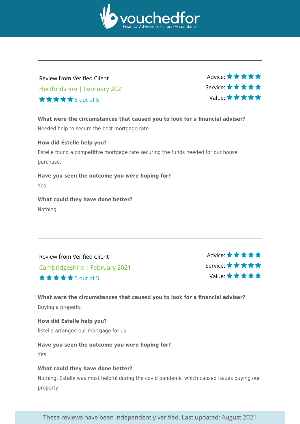

## Review from Verified Client Hertfordshire | February 2021 5 out of 5

Advice: ★ ★ ★ ★ ★ Service: Value:

**What were the circumstances that caused you to look for a financial adviser?**

Needed help to secure the best mortgage rate

#### **How did Estelle help you?**

Estelle found a competitive mortgage rate securing the funds needed for our house purchase.

**Have you seen the outcome you were hoping for?**

Yes

**What could they have done better?** Nothing

Review from Verified Client Cambridgeshire | February 2021 5 out of 5

Advice: \* \* \* \* \* Service: Value:

**What were the circumstances that caused you to look for a financial adviser?** Buying a property.

**How did Estelle help you?** Estelle arranged our mortgage for us.

**Have you seen the outcome you were hoping for?**

Yes

#### **What could they have done better?**

Nothing, Estelle was most helpful during the covid pandemic which caused issues buying our property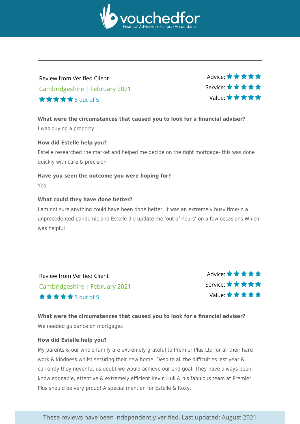

## Review from Verified Client Cambridgeshire | February 2021 5 out of 5

Advice: ★ ★ ★ ★ ★ Service: Value:

#### **What were the circumstances that caused you to look for a financial adviser?**

I was buying a property

#### **How did Estelle help you?**

Estelle researched the market and helped me decide on the right mortgage- this was done quickly with care & precision

#### **Have you seen the outcome you were hoping for?**

Yes

#### **What could they have done better?**

I am not sure anything could have been done better, it was an extremely busy time/in a unprecedented pandemic and Estelle did update me 'out of hours' on a few occasions Which was helpful

Review from Verified Client Cambridgeshire | February 2021 5 out of 5

Advice: \* \* \* \* \* Service: Value:

#### **What were the circumstances that caused you to look for a financial adviser?** We needed guidance on mortgages

#### **How did Estelle help you?**

My parents & our whole family are extremely grateful to Premier Plus Ltd for all their hard work & kindness whilst securing their new home. Despite all the difficulties last year & currently they never let us doubt we would achieve our end goal. They have always been knowledgeable, attentive & extremely efficient.Kevin Hull & his fabulous team at Premier Plus should be very proud! A special mention for Estelle & Roxy.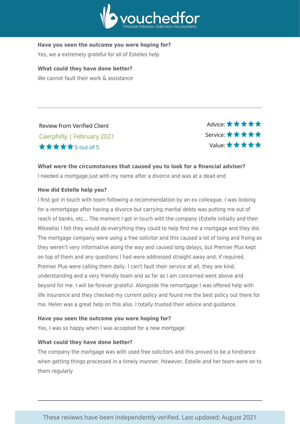

#### **Have you seen the outcome you were hoping for?**

Yes, we a extremely grateful for all of Estelles help

**What could they have done better?** We cannot fault their work & assistance

Review from Verified Client Caerphilly | February 2021 5 out of 5

Advice: \* \* \* \* \* Service: Value:

#### **What were the circumstances that caused you to look for a financial adviser?**

I needed a mortgage just with my name after a divorce and was at a dead end

#### **How did Estelle help you?**

I first got in touch with team following a recommendation by an ex colleague. I was looking for a remortgage after having a divorce but carrying marital debts was putting me out of reach of banks, etc... The moment I got in touch with the company (Estelle initially and then Mikealla) I felt they would do everything they could to help find me a mortgage and they did. The mortgage company were using a free solicitor and this caused a lot of toing and froing as they weren't very informative along the way and caused long delays, but Premier Plus kept on top of them and any questions I had were addressed straight away and, if required, Premier Plus were calling them daily. I can't fault their service at all, they are kind, understanding and a very friendly team and as far as I am concerned went above and beyond for me. I will be forever grateful. Alongside the remortgage I was offered help with life insurance and they checked my current policy and found me the best policy out there for me. Helen was a great help on this also. I totally trusted their advice and guidance.

#### **Have you seen the outcome you were hoping for?**

Yes, I was so happy when I was accepted for a new mortgage

#### **What could they have done better?**

The company the mortgage was with used free solicitors and this proved to be a hindrance when getting things processed in a timely manner. However, Estelle and her team were on to them regularly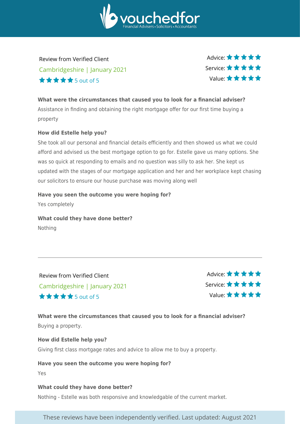

Review from Verified Client Cambridgeshire | January 2021 5 out of 5

Advice:  $\star \star \star \star \star$ Service: Value:

#### **What were the circumstances that caused you to look for a financial adviser?**

Assistance in finding and obtaining the right mortgage offer for our first time buying a property

#### **How did Estelle help you?**

She took all our personal and financial details efficiently and then showed us what we could afford and advised us the best mortgage option to go for. Estelle gave us many options. She was so quick at responding to emails and no question was silly to ask her. She kept us updated with the stages of our mortgage application and her and her workplace kept chasing our solicitors to ensure our house purchase was moving along well

#### **Have you seen the outcome you were hoping for?**

Yes completely

**What could they have done better?**

Nothing

Review from Verified Client Cambridgeshire | January 2021 5 out of 5

Advice:  $\star \star \star \star \star$ Service: Value:

#### **What were the circumstances that caused you to look for a financial adviser?** Buying a property.

#### **How did Estelle help you?**

Giving first class mortgage rates and advice to allow me to buy a property.

#### **Have you seen the outcome you were hoping for?**

Yes

#### **What could they have done better?**

Nothing - Estelle was both responsive and knowledgable of the current market.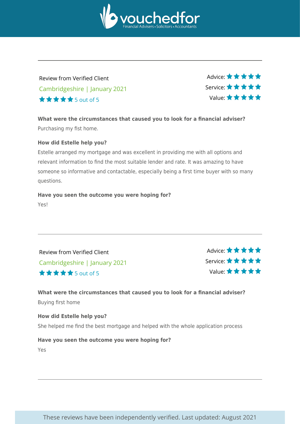

## Review from Verified Client Cambridgeshire | January 2021 5 out of 5

Advice: ★ ★ ★ ★ ★ Service: Value:

**What were the circumstances that caused you to look for a financial adviser?** Purchasing my fist home.

#### **How did Estelle help you?**

Estelle arranged my mortgage and was excellent in providing me with all options and relevant information to find the most suitable lender and rate. It was amazing to have someone so informative and contactable, especially being a first time buyer with so many questions.

## **Have you seen the outcome you were hoping for?**

Yes!

Review from Verified Client Cambridgeshire | January 2021 5 out of 5

Advice: ★ ★ ★ ★ ★ Service: Value:

#### **What were the circumstances that caused you to look for a financial adviser?** Buying first home

**How did Estelle help you?** She helped me find the best mortgage and helped with the whole application process

#### **Have you seen the outcome you were hoping for?** Yes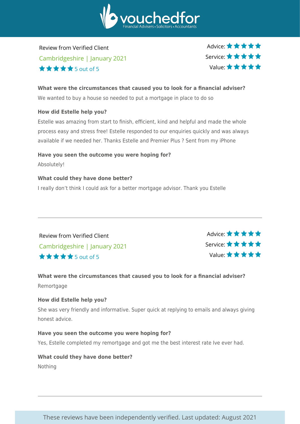

Review from Verified Client Cambridgeshire | January 2021  $\star \star \star \star$  5 out of 5

Advice: ★ ★ ★ ★ ★ Service: Value:

#### **What were the circumstances that caused you to look for a financial adviser?**

We wanted to buy a house so needed to put a mortgage in place to do so

#### **How did Estelle help you?**

Estelle was amazing from start to finish, efficient, kind and helpful and made the whole process easy and stress free! Estelle responded to our enquiries quickly and was always available if we needed her. Thanks Estelle and Premier Plus ? Sent from my iPhone

## **Have you seen the outcome you were hoping for?**

Absolutely!

#### **What could they have done better?**

I really don't think I could ask for a better mortgage advisor. Thank you Estelle

Review from Verified Client Cambridgeshire | January 2021 5 out of 5



#### **What were the circumstances that caused you to look for a financial adviser?** Remortgage

#### **How did Estelle help you?**

She was very friendly and informative. Super quick at replying to emails and always giving honest advice.

#### **Have you seen the outcome you were hoping for?**

Yes, Estelle completed my remortgage and got me the best interest rate Ive ever had.

#### **What could they have done better?**

Nothing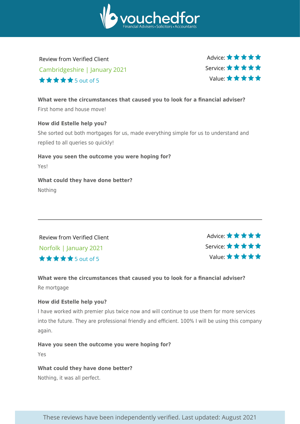

Review from Verified Client Cambridgeshire | January 2021  $\star \star \star \star$  5 out of 5

Advice:  $\star \star \star \star \star$ Service: Value:

**What were the circumstances that caused you to look for a financial adviser?** First home and house move!

**How did Estelle help you?**

She sorted out both mortgages for us, made everything simple for us to understand and replied to all queries so quickly!

**Have you seen the outcome you were hoping for?** Yes! **What could they have done better?**

Nothing

Review from Verified Client Norfolk | January 2021 5 out of 5

Advice:  $\star \star \star \star \star$ Service: Value:

**What were the circumstances that caused you to look for a financial adviser?** Re mortgage

#### **How did Estelle help you?**

I have worked with premier plus twice now and will continue to use them for more services into the future. They are professional friendly and efficient. 100% I will be using this company again.

**Have you seen the outcome you were hoping for?**

Yes

**What could they have done better?**

Nothing, it was all perfect.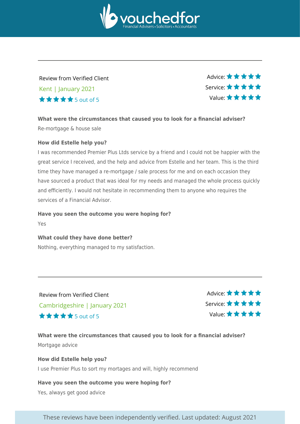

## Review from Verified Client Kent | January 2021 5 out of 5

Advice: ★ ★ ★ ★ ★ Service: Value:

**What were the circumstances that caused you to look for a financial adviser?** Re-mortgage & house sale

#### **How did Estelle help you?**

I was recommended Premier Plus Ltds service by a friend and I could not be happier with the great service I received, and the help and advice from Estelle and her team. This is the third time they have managed a re-mortgage / sale process for me and on each occasion they have sourced a product that was ideal for my needs and managed the whole process quickly and efficiently. I would not hesitate in recommending them to anyone who requires the services of a Financial Advisor.

#### **Have you seen the outcome you were hoping for?**

Yes

#### **What could they have done better?**

Nothing, everything managed to my satisfaction.

Review from Verified Client Cambridgeshire | January 2021 5 out of 5

Advice:  $\star \star \star \star \star$ Service: Value:

## **What were the circumstances that caused you to look for a financial adviser?** Mortgage advice

#### **How did Estelle help you?** I use Premier Plus to sort my mortages and will, highly recommend

#### **Have you seen the outcome you were hoping for?** Yes, always get good advice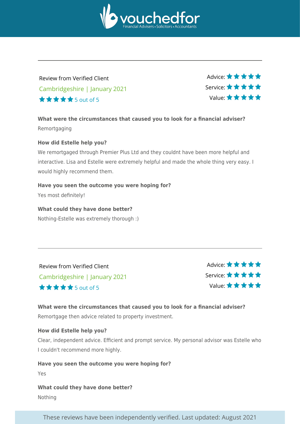

## Review from Verified Client Cambridgeshire | January 2021 5 out of 5

Advice: ★ ★ ★ ★ ★ Service: Value:

**What were the circumstances that caused you to look for a financial adviser?** Remortgaging

#### **How did Estelle help you?**

We remortgaged through Premier Plus Ltd and they couldnt have been more helpful and interactive. Lisa and Estelle were extremely helpful and made the whole thing very easy. I would highly recommend them.

#### **Have you seen the outcome you were hoping for?**

Yes most definitely!

#### **What could they have done better?**

Nothing-Estelle was extremely thorough :)

Review from Verified Client Cambridgeshire | January 2021 5 out of 5

Advice: \*\*\*\*\* Service: Value:

#### **What were the circumstances that caused you to look for a financial adviser?** Remortgage then advice related to property investment.

#### **How did Estelle help you?**

Clear, independent advice. Efficient and prompt service. My personal advisor was Estelle who I couldn't recommend more highly.

#### **Have you seen the outcome you were hoping for?**

Yes

#### **What could they have done better?**

Nothing